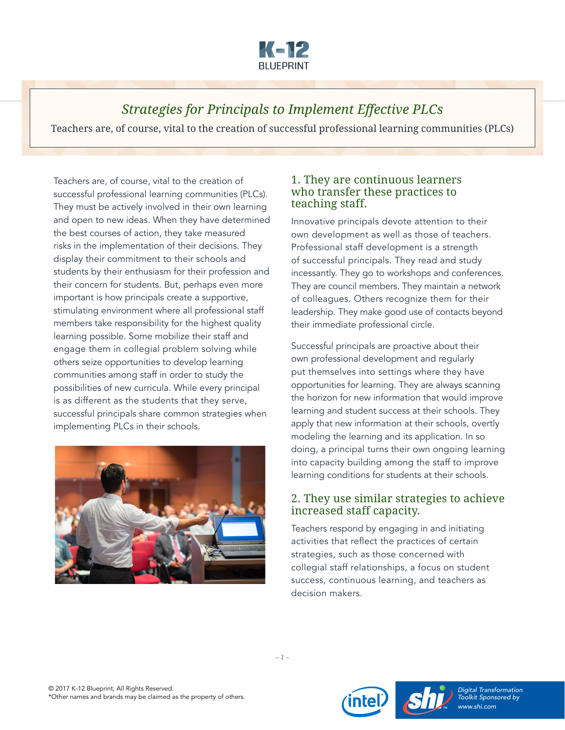

# *Strategies for Principals to Implement Effective PLCs*

Teachers are, of course, vital to the creation of successful professional learning communities (PLCs)

Teachers are, of course, vital to the creation of successful professional learning communities (PLCs). They must be actively involved in their own learning and open to new ideas. When they have determined the best courses of action, they take measured risks in the implementation of their decisions. They display their commitment to their schools and students by their enthusiasm for their profession and their concern for students. But, perhaps even more important is how principals create a supportive, stimulating environment where all professional staff members take responsibility for the highest quality learning possible. Some mobilize their staff and engage them in collegial problem solving while others seize opportunities to develop learning communities among staff in order to study the possibilities of new curricula. While every principal is as different as the students that they serve, successful principals share common strategies when implementing PLCs in their schools.



#### 1. They are continuous learners who transfer these practices to teaching staff.

Innovative principals devote attention to their own development as well as those of teachers. Professional staff development is a strength of successful principals. They read and study incessantly. They go to workshops and conferences. They are council members. They maintain a network of colleagues. Others recognize them for their leadership. They make good use of contacts beyond their immediate professional circle.

Successful principals are proactive about their own professional development and regularly put themselves into settings where they have opportunities for learning. They are always scanning the horizon for new information that would improve learning and student success at their schools. They apply that new information at their schools, overtly modeling the learning and its application. In so doing, a principal turns their own ongoing learning into capacity building among the staff to improve learning conditions for students at their schools.

#### 2. They use similar strategies to achieve increased staff capacity.

Teachers respond by engaging in and initiating activities that reflect the practices of certain strategies, such as those concerned with collegial staff relationships, a focus on student success, continuous learning, and teachers as decision makers.





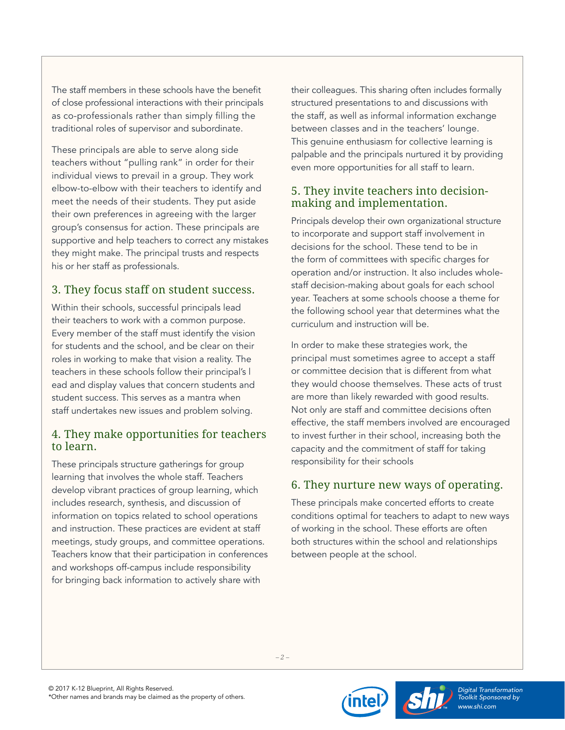The staff members in these schools have the benefit of close professional interactions with their principals as co-professionals rather than simply filling the traditional roles of supervisor and subordinate.

These principals are able to serve along side teachers without "pulling rank" in order for their individual views to prevail in a group. They work elbow-to-elbow with their teachers to identify and meet the needs of their students. They put aside their own preferences in agreeing with the larger group's consensus for action. These principals are supportive and help teachers to correct any mistakes they might make. The principal trusts and respects his or her staff as professionals.

### 3. They focus staff on student success.

Within their schools, successful principals lead their teachers to work with a common purpose. Every member of the staff must identify the vision for students and the school, and be clear on their roles in working to make that vision a reality. The teachers in these schools follow their principal's l ead and display values that concern students and student success. This serves as a mantra when staff undertakes new issues and problem solving.

#### 4. They make opportunities for teachers to learn.

These principals structure gatherings for group learning that involves the whole staff. Teachers develop vibrant practices of group learning, which includes research, synthesis, and discussion of information on topics related to school operations and instruction. These practices are evident at staff meetings, study groups, and committee operations. Teachers know that their participation in conferences and workshops off-campus include responsibility for bringing back information to actively share with

their colleagues. This sharing often includes formally structured presentations to and discussions with the staff, as well as informal information exchange between classes and in the teachers' lounge. This genuine enthusiasm for collective learning is palpable and the principals nurtured it by providing even more opportunities for all staff to learn.

#### 5. They invite teachers into decisionmaking and implementation.

Principals develop their own organizational structure to incorporate and support staff involvement in decisions for the school. These tend to be in the form of committees with specific charges for operation and/or instruction. It also includes wholestaff decision-making about goals for each school year. Teachers at some schools choose a theme for the following school year that determines what the curriculum and instruction will be.

In order to make these strategies work, the principal must sometimes agree to accept a staff or committee decision that is different from what they would choose themselves. These acts of trust are more than likely rewarded with good results. Not only are staff and committee decisions often effective, the staff members involved are encouraged to invest further in their school, increasing both the capacity and the commitment of staff for taking responsibility for their schools

# 6. They nurture new ways of operating.

These principals make concerted efforts to create conditions optimal for teachers to adapt to new ways of working in the school. These efforts are often both structures within the school and relationships between people at the school.